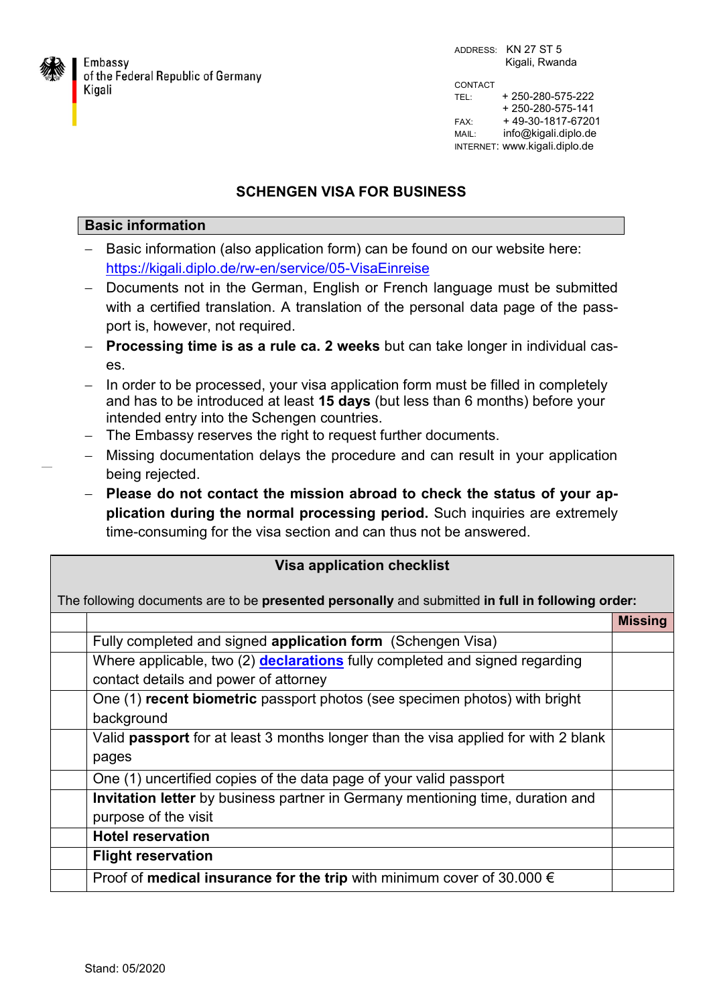

ADDRESS: KN 27 ST 5 Kigali, Rwanda CONTACT TEL: + 250-280-575-222 + 250-280-575-141 FAX: + 49-30-1817-67201 MAIL: info@kigali.diplo.de INTERNET: www.kigali.diplo.de

## **SCHENGEN VISA FOR BUSINESS**

## **Basic information**

- Basic information (also application form) can be found on our website here: <https://kigali.diplo.de/rw-en/service/05-VisaEinreise>
- Documents not in the German, English or French language must be submitted with a certified translation. A translation of the personal data page of the passport is, however, not required.
- **Processing time is as a rule ca. 2 weeks** but can take longer in individual cases.
- $-$  In order to be processed, your visa application form must be filled in completely and has to be introduced at least **15 days** (but less than 6 months) before your intended entry into the Schengen countries.
- The Embassy reserves the right to request further documents.
- Missing documentation delays the procedure and can result in your application being rejected.
- **Please do not contact the mission abroad to check the status of your application during the normal processing period.** Such inquiries are extremely time-consuming for the visa section and can thus not be answered.

## **Visa application checklist**

| The following documents are to be presented personally and submitted in full in following order: |                                                                                    |                |
|--------------------------------------------------------------------------------------------------|------------------------------------------------------------------------------------|----------------|
|                                                                                                  |                                                                                    | <b>Missing</b> |
|                                                                                                  | Fully completed and signed <b>application form</b> (Schengen Visa)                 |                |
|                                                                                                  | Where applicable, two (2) declarations fully completed and signed regarding        |                |
|                                                                                                  | contact details and power of attorney                                              |                |
|                                                                                                  | One (1) recent biometric passport photos (see specimen photos) with bright         |                |
|                                                                                                  | background                                                                         |                |
|                                                                                                  | Valid passport for at least 3 months longer than the visa applied for with 2 blank |                |
|                                                                                                  | pages                                                                              |                |
|                                                                                                  | One (1) uncertified copies of the data page of your valid passport                 |                |
|                                                                                                  | Invitation letter by business partner in Germany mentioning time, duration and     |                |
|                                                                                                  | purpose of the visit                                                               |                |
|                                                                                                  | <b>Hotel reservation</b>                                                           |                |
|                                                                                                  | <b>Flight reservation</b>                                                          |                |
|                                                                                                  | Proof of medical insurance for the trip with minimum cover of 30.000 $\epsilon$    |                |